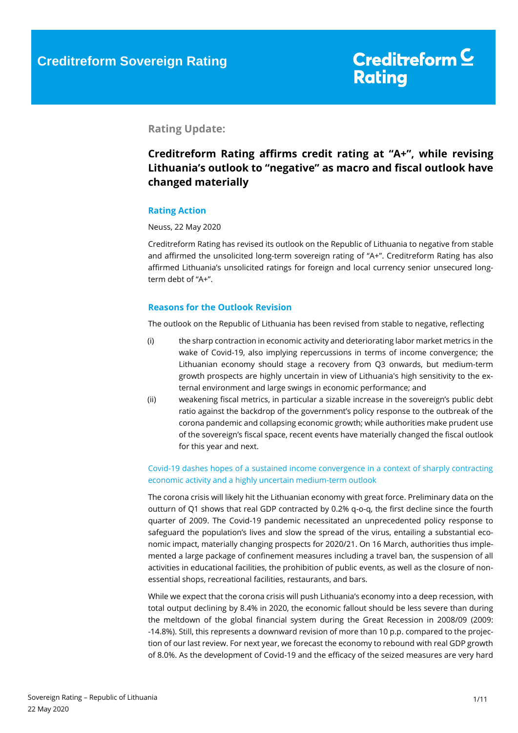#### **Rating Update:**

### **Creditreform Rating affirms credit rating at "A+", while revising Lithuania's outlook to "negative" as macro and fiscal outlook have changed materially**

#### **Rating Action**

#### Neuss, 22 May 2020

Creditreform Rating has revised its outlook on the Republic of Lithuania to negative from stable and affirmed the unsolicited long-term sovereign rating of "A+". Creditreform Rating has also affirmed Lithuania's unsolicited ratings for foreign and local currency senior unsecured longterm debt of "A+".

#### **Reasons for the Outlook Revision**

The outlook on the Republic of Lithuania has been revised from stable to negative, reflecting

- (i) the sharp contraction in economic activity and deteriorating labor market metrics in the wake of Covid-19, also implying repercussions in terms of income convergence; the Lithuanian economy should stage a recovery from Q3 onwards, but medium-term growth prospects are highly uncertain in view of Lithuania's high sensitivity to the external environment and large swings in economic performance; and
- (ii) weakening fiscal metrics, in particular a sizable increase in the sovereign's public debt ratio against the backdrop of the government's policy response to the outbreak of the corona pandemic and collapsing economic growth; while authorities make prudent use of the sovereign's fiscal space, recent events have materially changed the fiscal outlook for this year and next.

#### Covid-19 dashes hopes of a sustained income convergence in a context of sharply contracting economic activity and a highly uncertain medium-term outlook

The corona crisis will likely hit the Lithuanian economy with great force. Preliminary data on the outturn of Q1 shows that real GDP contracted by 0.2% q-o-q, the first decline since the fourth quarter of 2009. The Covid-19 pandemic necessitated an unprecedented policy response to safeguard the population's lives and slow the spread of the virus, entailing a substantial economic impact, materially changing prospects for 2020/21. On 16 March, authorities thus implemented a large package of confinement measures including a travel ban, the suspension of all activities in educational facilities, the prohibition of public events, as well as the closure of nonessential shops, recreational facilities, restaurants, and bars.

While we expect that the corona crisis will push Lithuania's economy into a deep recession, with total output declining by 8.4% in 2020, the economic fallout should be less severe than during the meltdown of the global financial system during the Great Recession in 2008/09 (2009: -14.8%). Still, this represents a downward revision of more than 10 p.p. compared to the projection of our last review. For next year, we forecast the economy to rebound with real GDP growth of 8.0%. As the development of Covid-19 and the efficacy of the seized measures are very hard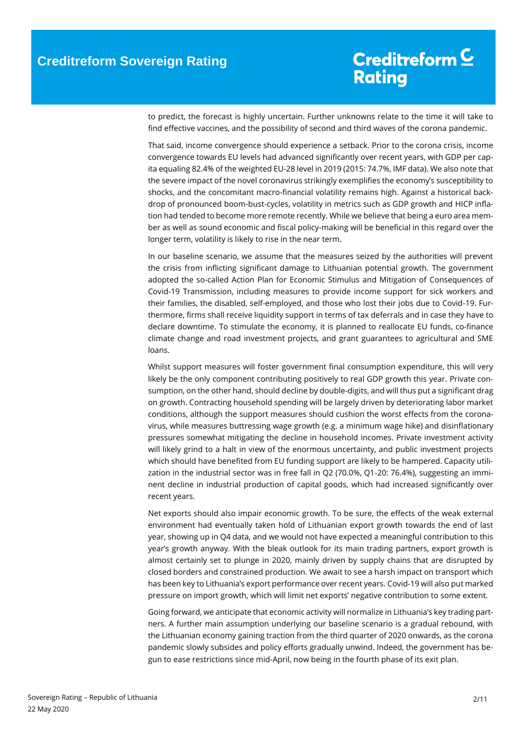to predict, the forecast is highly uncertain. Further unknowns relate to the time it will take to find effective vaccines, and the possibility of second and third waves of the corona pandemic.

That said, income convergence should experience a setback. Prior to the corona crisis, income convergence towards EU levels had advanced significantly over recent years, with GDP per capita equaling 82.4% of the weighted EU-28 level in 2019 (2015: 74.7%, IMF data). We also note that the severe impact of the novel coronavirus strikingly exemplifies the economy's susceptibility to shocks, and the concomitant macro-financial volatility remains high. Against a historical backdrop of pronounced boom-bust-cycles, volatility in metrics such as GDP growth and HICP inflation had tended to become more remote recently. While we believe that being a euro area member as well as sound economic and fiscal policy-making will be beneficial in this regard over the longer term, volatility is likely to rise in the near term.

In our baseline scenario, we assume that the measures seized by the authorities will prevent the crisis from inflicting significant damage to Lithuanian potential growth. The government adopted the so-called Action Plan for Economic Stimulus and Mitigation of Consequences of Covid-19 Transmission, including measures to provide income support for sick workers and their families, the disabled, self-employed, and those who lost their jobs due to Covid-19. Furthermore, firms shall receive liquidity support in terms of tax deferrals and in case they have to declare downtime. To stimulate the economy, it is planned to reallocate EU funds, co-finance climate change and road investment projects, and grant guarantees to agricultural and SME loans.

Whilst support measures will foster government final consumption expenditure, this will very likely be the only component contributing positively to real GDP growth this year. Private consumption, on the other hand, should decline by double-digits, and will thus put a significant drag on growth. Contracting household spending will be largely driven by deteriorating labor market conditions, although the support measures should cushion the worst effects from the coronavirus, while measures buttressing wage growth (e.g. a minimum wage hike) and disinflationary pressures somewhat mitigating the decline in household incomes. Private investment activity will likely grind to a halt in view of the enormous uncertainty, and public investment projects which should have benefited from EU funding support are likely to be hampered. Capacity utilization in the industrial sector was in free fall in Q2 (70.0%, Q1-20: 76.4%), suggesting an imminent decline in industrial production of capital goods, which had increased significantly over recent years.

Net exports should also impair economic growth. To be sure, the effects of the weak external environment had eventually taken hold of Lithuanian export growth towards the end of last year, showing up in Q4 data, and we would not have expected a meaningful contribution to this year's growth anyway. With the bleak outlook for its main trading partners, export growth is almost certainly set to plunge in 2020, mainly driven by supply chains that are disrupted by closed borders and constrained production. We await to see a harsh impact on transport which has been key to Lithuania's export performance over recent years. Covid-19 will also put marked pressure on import growth, which will limit net exports' negative contribution to some extent.

Going forward, we anticipate that economic activity will normalize in Lithuania's key trading partners. A further main assumption underlying our baseline scenario is a gradual rebound, with the Lithuanian economy gaining traction from the third quarter of 2020 onwards, as the corona pandemic slowly subsides and policy efforts gradually unwind. Indeed, the government has begun to ease restrictions since mid-April, now being in the fourth phase of its exit plan.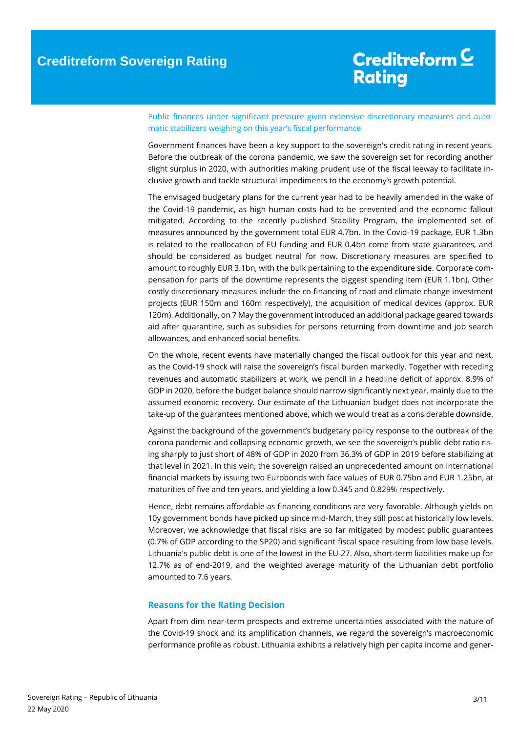Public finances under significant pressure given extensive discretionary measures and automatic stabilizers weighing on this year's fiscal performance

Government finances have been a key support to the sovereign's credit rating in recent years. Before the outbreak of the corona pandemic, we saw the sovereign set for recording another slight surplus in 2020, with authorities making prudent use of the fiscal leeway to facilitate inclusive growth and tackle structural impediments to the economy's growth potential.

The envisaged budgetary plans for the current year had to be heavily amended in the wake of the Covid-19 pandemic, as high human costs had to be prevented and the economic fallout mitigated. According to the recently published Stability Program, the implemented set of measures announced by the government total EUR 4.7bn. In the Covid-19 package, EUR 1.3bn is related to the reallocation of EU funding and EUR 0.4bn come from state guarantees, and should be considered as budget neutral for now. Discretionary measures are specified to amount to roughly EUR 3.1bn, with the bulk pertaining to the expenditure side. Corporate compensation for parts of the downtime represents the biggest spending item (EUR 1.1bn). Other costly discretionary measures include the co-financing of road and climate change investment projects (EUR 150m and 160m respectively), the acquisition of medical devices (approx. EUR 120m). Additionally, on 7 May the government introduced an additional package geared towards aid after quarantine, such as subsidies for persons returning from downtime and job search allowances, and enhanced social benefits.

On the whole, recent events have materially changed the fiscal outlook for this year and next, as the Covid-19 shock will raise the sovereign's fiscal burden markedly. Together with receding revenues and automatic stabilizers at work, we pencil in a headline deficit of approx. 8.9% of GDP in 2020, before the budget balance should narrow significantly next year, mainly due to the assumed economic recovery. Our estimate of the Lithuanian budget does not incorporate the take-up of the guarantees mentioned above, which we would treat as a considerable downside.

Against the background of the government's budgetary policy response to the outbreak of the corona pandemic and collapsing economic growth, we see the sovereign's public debt ratio rising sharply to just short of 48% of GDP in 2020 from 36.3% of GDP in 2019 before stabilizing at that level in 2021. In this vein, the sovereign raised an unprecedented amount on international financial markets by issuing two Eurobonds with face values of EUR 0.75bn and EUR 1.25bn, at maturities of five and ten years, and yielding a low 0.345 and 0.829% respectively.

Hence, debt remains affordable as financing conditions are very favorable. Although yields on 10y government bonds have picked up since mid-March, they still post at historically low levels. Moreover, we acknowledge that fiscal risks are so far mitigated by modest public guarantees (0.7% of GDP according to the SP20) and significant fiscal space resulting from low base levels. Lithuania's public debt is one of the lowest in the EU-27. Also, short-term liabilities make up for 12.7% as of end-2019, and the weighted average maturity of the Lithuanian debt portfolio amounted to 7.6 years.

#### **Reasons for the Rating Decision**

Apart from dim near-term prospects and extreme uncertainties associated with the nature of the Covid-19 shock and its amplification channels, we regard the sovereign's macroeconomic performance profile as robust. Lithuania exhibits a relatively high per capita income and gener-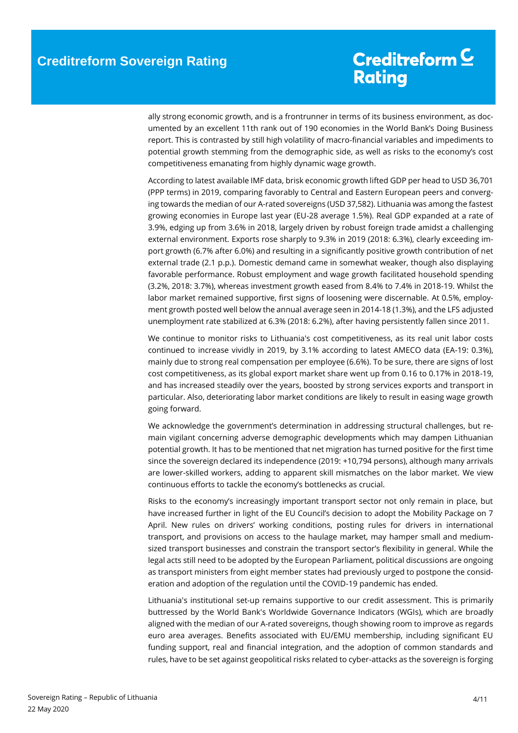ally strong economic growth, and is a frontrunner in terms of its business environment, as documented by an excellent 11th rank out of 190 economies in the World Bank's Doing Business report. This is contrasted by still high volatility of macro-financial variables and impediments to potential growth stemming from the demographic side, as well as risks to the economy's cost competitiveness emanating from highly dynamic wage growth.

According to latest available IMF data, brisk economic growth lifted GDP per head to USD 36,701 (PPP terms) in 2019, comparing favorably to Central and Eastern European peers and converging towards the median of our A-rated sovereigns (USD 37,582). Lithuania was among the fastest growing economies in Europe last year (EU-28 average 1.5%). Real GDP expanded at a rate of 3.9%, edging up from 3.6% in 2018, largely driven by robust foreign trade amidst a challenging external environment. Exports rose sharply to 9.3% in 2019 (2018: 6.3%), clearly exceeding import growth (6.7% after 6.0%) and resulting in a significantly positive growth contribution of net external trade (2.1 p.p.). Domestic demand came in somewhat weaker, though also displaying favorable performance. Robust employment and wage growth facilitated household spending (3.2%, 2018: 3.7%), whereas investment growth eased from 8.4% to 7.4% in 2018-19. Whilst the labor market remained supportive, first signs of loosening were discernable. At 0.5%, employment growth posted well below the annual average seen in 2014-18 (1.3%), and the LFS adjusted unemployment rate stabilized at 6.3% (2018: 6.2%), after having persistently fallen since 2011.

We continue to monitor risks to Lithuania's cost competitiveness, as its real unit labor costs continued to increase vividly in 2019, by 3.1% according to latest AMECO data (EA-19: 0.3%), mainly due to strong real compensation per employee (6.6%). To be sure, there are signs of lost cost competitiveness, as its global export market share went up from 0.16 to 0.17% in 2018-19, and has increased steadily over the years, boosted by strong services exports and transport in particular. Also, deteriorating labor market conditions are likely to result in easing wage growth going forward.

We acknowledge the government's determination in addressing structural challenges, but remain vigilant concerning adverse demographic developments which may dampen Lithuanian potential growth. It has to be mentioned that net migration has turned positive for the first time since the sovereign declared its independence (2019: +10,794 persons), although many arrivals are lower-skilled workers, adding to apparent skill mismatches on the labor market. We view continuous efforts to tackle the economy's bottlenecks as crucial.

Risks to the economy's increasingly important transport sector not only remain in place, but have increased further in light of the EU Council's decision to adopt the Mobility Package on 7 April. New rules on drivers' working conditions, posting rules for drivers in international transport, and provisions on access to the haulage market, may hamper small and mediumsized transport businesses and constrain the transport sector's flexibility in general. While the legal acts still need to be adopted by the European Parliament, political discussions are ongoing as transport ministers from eight member states had previously urged to postpone the consideration and adoption of the regulation until the COVID-19 pandemic has ended.

Lithuania's institutional set-up remains supportive to our credit assessment. This is primarily buttressed by the World Bank's Worldwide Governance Indicators (WGIs), which are broadly aligned with the median of our A-rated sovereigns, though showing room to improve as regards euro area averages. Benefits associated with EU/EMU membership, including significant EU funding support, real and financial integration, and the adoption of common standards and rules, have to be set against geopolitical risks related to cyber-attacks as the sovereign is forging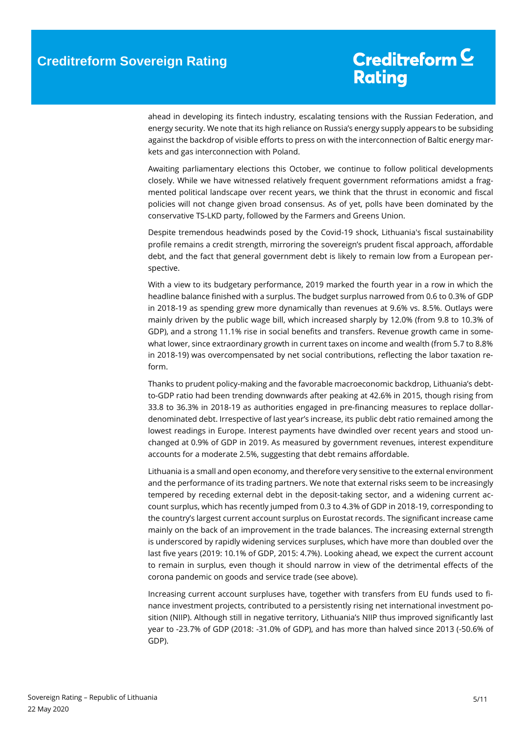ahead in developing its fintech industry, escalating tensions with the Russian Federation, and energy security. We note that its high reliance on Russia's energy supply appears to be subsiding against the backdrop of visible efforts to press on with the interconnection of Baltic energy markets and gas interconnection with Poland.

Awaiting parliamentary elections this October, we continue to follow political developments closely. While we have witnessed relatively frequent government reformations amidst a fragmented political landscape over recent years, we think that the thrust in economic and fiscal policies will not change given broad consensus. As of yet, polls have been dominated by the conservative TS-LKD party, followed by the Farmers and Greens Union.

Despite tremendous headwinds posed by the Covid-19 shock, Lithuania's fiscal sustainability profile remains a credit strength, mirroring the sovereign's prudent fiscal approach, affordable debt, and the fact that general government debt is likely to remain low from a European perspective.

With a view to its budgetary performance, 2019 marked the fourth year in a row in which the headline balance finished with a surplus. The budget surplus narrowed from 0.6 to 0.3% of GDP in 2018-19 as spending grew more dynamically than revenues at 9.6% vs. 8.5%. Outlays were mainly driven by the public wage bill, which increased sharply by 12.0% (from 9.8 to 10.3% of GDP), and a strong 11.1% rise in social benefits and transfers. Revenue growth came in somewhat lower, since extraordinary growth in current taxes on income and wealth (from 5.7 to 8.8% in 2018-19) was overcompensated by net social contributions, reflecting the labor taxation reform.

Thanks to prudent policy-making and the favorable macroeconomic backdrop, Lithuania's debtto-GDP ratio had been trending downwards after peaking at 42.6% in 2015, though rising from 33.8 to 36.3% in 2018-19 as authorities engaged in pre-financing measures to replace dollardenominated debt. Irrespective of last year's increase, its public debt ratio remained among the lowest readings in Europe. Interest payments have dwindled over recent years and stood unchanged at 0.9% of GDP in 2019. As measured by government revenues, interest expenditure accounts for a moderate 2.5%, suggesting that debt remains affordable.

Lithuania is a small and open economy, and therefore very sensitive to the external environment and the performance of its trading partners. We note that external risks seem to be increasingly tempered by receding external debt in the deposit-taking sector, and a widening current account surplus, which has recently jumped from 0.3 to 4.3% of GDP in 2018-19, corresponding to the country's largest current account surplus on Eurostat records. The significant increase came mainly on the back of an improvement in the trade balances. The increasing external strength is underscored by rapidly widening services surpluses, which have more than doubled over the last five years (2019: 10.1% of GDP, 2015: 4.7%). Looking ahead, we expect the current account to remain in surplus, even though it should narrow in view of the detrimental effects of the corona pandemic on goods and service trade (see above).

Increasing current account surpluses have, together with transfers from EU funds used to finance investment projects, contributed to a persistently rising net international investment position (NIIP). Although still in negative territory, Lithuania's NIIP thus improved significantly last year to -23.7% of GDP (2018: -31.0% of GDP), and has more than halved since 2013 (-50.6% of GDP).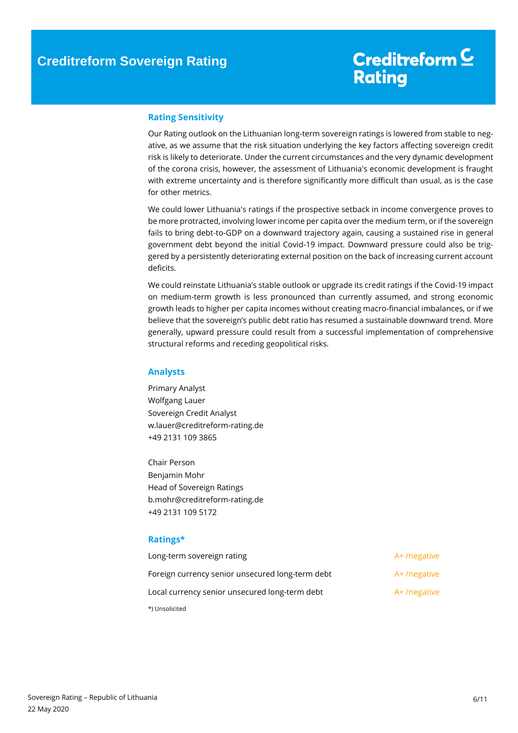#### **Rating Sensitivity**

Our Rating outlook on the Lithuanian long-term sovereign ratings is lowered from stable to negative, as we assume that the risk situation underlying the key factors affecting sovereign credit risk is likely to deteriorate. Under the current circumstances and the very dynamic development of the corona crisis, however, the assessment of Lithuania's economic development is fraught with extreme uncertainty and is therefore significantly more difficult than usual, as is the case for other metrics.

We could lower Lithuania's ratings if the prospective setback in income convergence proves to be more protracted, involving lower income per capita over the medium term, or if the sovereign fails to bring debt-to-GDP on a downward trajectory again, causing a sustained rise in general government debt beyond the initial Covid-19 impact. Downward pressure could also be triggered by a persistently deteriorating external position on the back of increasing current account deficits.

We could reinstate Lithuania's stable outlook or upgrade its credit ratings if the Covid-19 impact on medium-term growth is less pronounced than currently assumed, and strong economic growth leads to higher per capita incomes without creating macro-financial imbalances, or if we believe that the sovereign's public debt ratio has resumed a sustainable downward trend. More generally, upward pressure could result from a successful implementation of comprehensive structural reforms and receding geopolitical risks.

#### **Analysts**

Primary Analyst Wolfgang Lauer Sovereign Credit Analyst w.lauer@creditreform-rating.de +49 2131 109 3865

Chair Person Benjamin Mohr Head of Sovereign Ratings b.mohr@creditreform-rating.de +49 2131 109 5172

#### **Ratings\***

| Long-term sovereign rating                       | A+/negative |
|--------------------------------------------------|-------------|
| Foreign currency senior unsecured long-term debt | A+/negative |
| Local currency senior unsecured long-term debt   | A+/negative |
| *) Unsolicited                                   |             |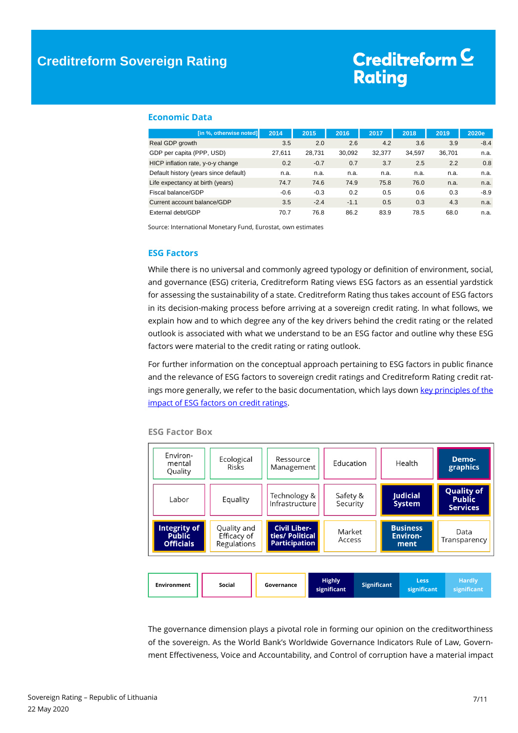#### **Economic Data**

| [in %, otherwise noted]               | 2014   | 2015   | 2016   | 2017   | 2018   | 2019   | 2020e  |
|---------------------------------------|--------|--------|--------|--------|--------|--------|--------|
| Real GDP growth                       | 3.5    | 2.0    | 2.6    | 4.2    | 3.6    | 3.9    | $-8.4$ |
| GDP per capita (PPP, USD)             | 27.611 | 28,731 | 30.092 | 32.377 | 34.597 | 36.701 | n.a.   |
| HICP inflation rate, y-o-y change     | 0.2    | $-0.7$ | 0.7    | 3.7    | 2.5    | 2.2    | 0.8    |
| Default history (years since default) | n.a.   | n.a.   | n.a.   | n.a.   | n.a.   | n.a.   | n.a.   |
| Life expectancy at birth (years)      | 74.7   | 74.6   | 74.9   | 75.8   | 76.0   | n.a.   | n.a.   |
| Fiscal balance/GDP                    | $-0.6$ | $-0.3$ | 0.2    | 0.5    | 0.6    | 0.3    | $-8.9$ |
| Current account balance/GDP           | 3.5    | $-2.4$ | $-1.1$ | 0.5    | 0.3    | 4.3    | n.a.   |
| External debt/GDP                     | 70.7   | 76.8   | 86.2   | 83.9   | 78.5   | 68.0   | n.a.   |

Source: International Monetary Fund, Eurostat, own estimates

#### **ESG Factors**

While there is no universal and commonly agreed typology or definition of environment, social, and governance (ESG) criteria, Creditreform Rating views ESG factors as an essential yardstick for assessing the sustainability of a state. Creditreform Rating thus takes account of ESG factors in its decision-making process before arriving at a sovereign credit rating. In what follows, we explain how and to which degree any of the key drivers behind the credit rating or the related outlook is associated with what we understand to be an ESG factor and outline why these ESG factors were material to the credit rating or rating outlook.

For further information on the conceptual approach pertaining to ESG factors in public finance and the relevance of ESG factors to sovereign credit ratings and Creditreform Rating credit ratings more generally, we refer to the basic documentation, which lays down key principles of the [impact of ESG factors on credit ratings.](https://www.creditreform-rating.de/en/about-us/regulatory-requirements.html?file=files/content/downloads/Externes%20Rating/Regulatorische%20Anforderungen/EN/Ratingmethodiken%20EN/The%20Impact%20of%20ESG%20Factors%20on%20Credit%20Ratings.pdf)

| Environ-<br>mental<br>Quality                                                                                                                                  | Ecological<br>Risks                       | Ressource<br>Management                                        |  | Education            |  | Health                                     | Demo-<br>graphics                                     |  |
|----------------------------------------------------------------------------------------------------------------------------------------------------------------|-------------------------------------------|----------------------------------------------------------------|--|----------------------|--|--------------------------------------------|-------------------------------------------------------|--|
| Labor                                                                                                                                                          | Equality                                  | Technology &<br>Infrastructure                                 |  | Safety &<br>Security |  | <b>Judicial</b><br><b>System</b>           | <b>Quality of</b><br><b>Public</b><br><b>Services</b> |  |
| <b>Integrity of</b><br><b>Public</b><br><b>Officials</b>                                                                                                       | Quality and<br>Efficacy of<br>Regulations | <b>Civil Liber-</b><br>ties/ Political<br><b>Participation</b> |  | Market<br>Access     |  | <b>Business</b><br><b>Environ-</b><br>ment | Data<br>Transparency                                  |  |
| <b>Highly</b><br><b>Hardly</b><br><b>Less</b><br><b>Significant</b><br>Social<br><b>Environment</b><br>Governance<br>significant<br>significant<br>significant |                                           |                                                                |  |                      |  |                                            |                                                       |  |

#### **ESG Factor Box**

The governance dimension plays a pivotal role in forming our opinion on the creditworthiness of the sovereign. As the World Bank's Worldwide Governance Indicators Rule of Law, Government Effectiveness, Voice and Accountability, and Control of corruption have a material impact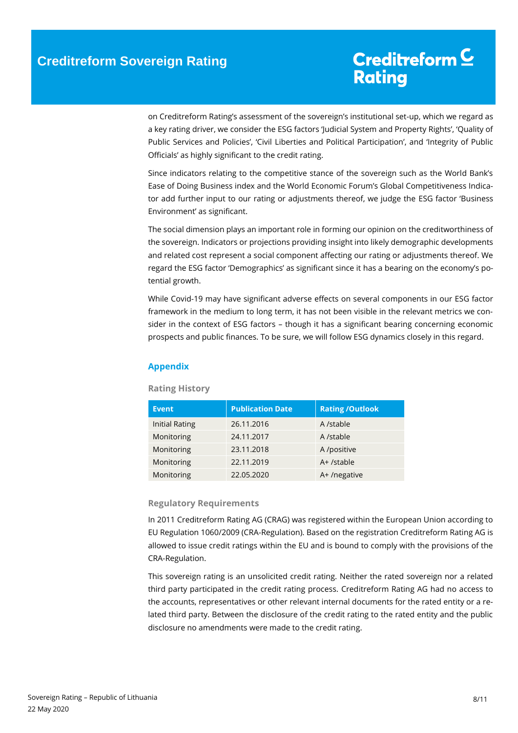on Creditreform Rating's assessment of the sovereign's institutional set-up, which we regard as a key rating driver, we consider the ESG factors 'Judicial System and Property Rights', 'Quality of Public Services and Policies', 'Civil Liberties and Political Participation', and 'Integrity of Public Officials' as highly significant to the credit rating.

Since indicators relating to the competitive stance of the sovereign such as the World Bank's Ease of Doing Business index and the World Economic Forum's Global Competitiveness Indicator add further input to our rating or adjustments thereof, we judge the ESG factor 'Business Environment' as significant.

The social dimension plays an important role in forming our opinion on the creditworthiness of the sovereign. Indicators or projections providing insight into likely demographic developments and related cost represent a social component affecting our rating or adjustments thereof. We regard the ESG factor 'Demographics' as significant since it has a bearing on the economy's potential growth.

While Covid-19 may have significant adverse effects on several components in our ESG factor framework in the medium to long term, it has not been visible in the relevant metrics we consider in the context of ESG factors – though it has a significant bearing concerning economic prospects and public finances. To be sure, we will follow ESG dynamics closely in this regard.

#### **Appendix**

### **Event Publication Date Rating /Outlook** Initial Rating 26.11.2016 A /stable Monitoring 24.11.2017 A /stable Monitoring 23.11.2018 A /positive Monitoring 22.11.2019 A+ /stable Monitoring 22.05.2020 A+ /negative

#### **Rating History**

#### **Regulatory Requirements**

In 2011 Creditreform Rating AG (CRAG) was registered within the European Union according to EU Regulation 1060/2009 (CRA-Regulation). Based on the registration Creditreform Rating AG is allowed to issue credit ratings within the EU and is bound to comply with the provisions of the CRA-Regulation.

This sovereign rating is an unsolicited credit rating. Neither the rated sovereign nor a related third party participated in the credit rating process. Creditreform Rating AG had no access to the accounts, representatives or other relevant internal documents for the rated entity or a related third party. Between the disclosure of the credit rating to the rated entity and the public disclosure no amendments were made to the credit rating.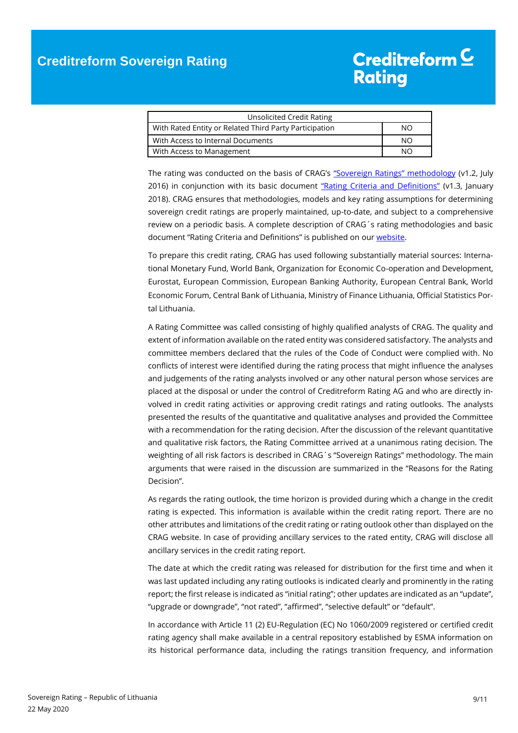| Unsolicited Credit Rating                              |    |
|--------------------------------------------------------|----|
| With Rated Entity or Related Third Party Participation | NΟ |
| With Access to Internal Documents                      | NΟ |
| With Access to Management                              | NΩ |

The rating was conducted on the basis of CRAG's ["Sovereign Ratings" methodology](https://www.creditreform-rating.de/en/about-us/regulatory-requirements.html?file=files/content/downloads/Externes%20Rating/Regulatorische%20Anforderungen/EN/Ratingmethodiken%20EN/Rating%20Methodology%20Sovereign%20Ratings.pdf) (v1.2, July 2016) in conjunction with its basic document ["Rating Criteria and Definitions"](https://www.creditreform-rating.de/en/about-us/regulatory-requirements.html?file=files/content/downloads/Externes%20Rating/Regulatorische%20Anforderungen/EN/Ratingmethodiken%20EN/CRAG%20Rating%20Criteria%20and%20Definitions.pdf) (v1.3, January 2018). CRAG ensures that methodologies, models and key rating assumptions for determining sovereign credit ratings are properly maintained, up-to-date, and subject to a comprehensive review on a periodic basis. A complete description of CRAG´s rating methodologies and basic document "Rating Criteria and Definitions" is published on ou[r website.](https://www.creditreform-rating.de/en/about-us/regulatory-requirements.html)

To prepare this credit rating, CRAG has used following substantially material sources: International Monetary Fund, World Bank, Organization for Economic Co-operation and Development, Eurostat, European Commission, European Banking Authority, European Central Bank, World Economic Forum, Central Bank of Lithuania, Ministry of Finance Lithuania, Official Statistics Portal Lithuania.

A Rating Committee was called consisting of highly qualified analysts of CRAG. The quality and extent of information available on the rated entity was considered satisfactory. The analysts and committee members declared that the rules of the Code of Conduct were complied with. No conflicts of interest were identified during the rating process that might influence the analyses and judgements of the rating analysts involved or any other natural person whose services are placed at the disposal or under the control of Creditreform Rating AG and who are directly involved in credit rating activities or approving credit ratings and rating outlooks. The analysts presented the results of the quantitative and qualitative analyses and provided the Committee with a recommendation for the rating decision. After the discussion of the relevant quantitative and qualitative risk factors, the Rating Committee arrived at a unanimous rating decision. The weighting of all risk factors is described in CRAG´s "Sovereign Ratings" methodology. The main arguments that were raised in the discussion are summarized in the "Reasons for the Rating Decision".

As regards the rating outlook, the time horizon is provided during which a change in the credit rating is expected. This information is available within the credit rating report. There are no other attributes and limitations of the credit rating or rating outlook other than displayed on the CRAG website. In case of providing ancillary services to the rated entity, CRAG will disclose all ancillary services in the credit rating report.

The date at which the credit rating was released for distribution for the first time and when it was last updated including any rating outlooks is indicated clearly and prominently in the rating report; the first release is indicated as "initial rating"; other updates are indicated as an "update", "upgrade or downgrade", "not rated", "affirmed", "selective default" or "default".

In accordance with Article 11 (2) EU-Regulation (EC) No 1060/2009 registered or certified credit rating agency shall make available in a central repository established by ESMA information on its historical performance data, including the ratings transition frequency, and information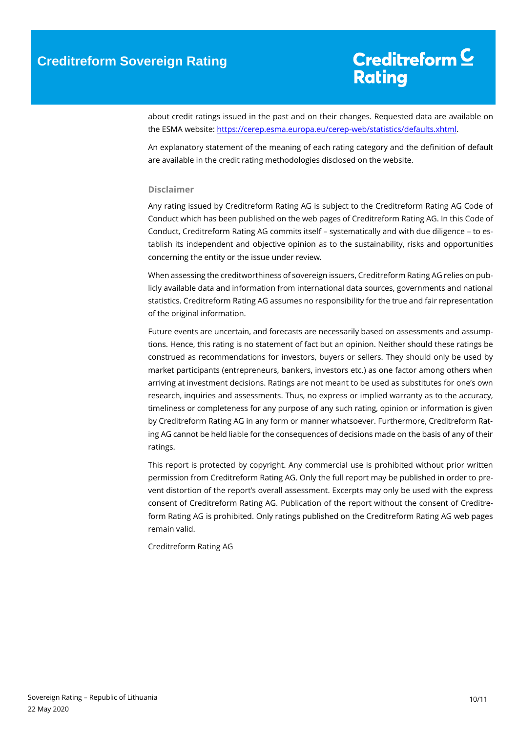about credit ratings issued in the past and on their changes. Requested data are available on the ESMA website: [https://cerep.esma.europa.eu/cerep-web/statistics/defaults.xhtml.](https://cerep.esma.europa.eu/cerep-web/statistics/defaults.xhtml)

An explanatory statement of the meaning of each rating category and the definition of default are available in the credit rating methodologies disclosed on the website.

#### **Disclaimer**

Any rating issued by Creditreform Rating AG is subject to the Creditreform Rating AG Code of Conduct which has been published on the web pages of Creditreform Rating AG. In this Code of Conduct, Creditreform Rating AG commits itself – systematically and with due diligence – to establish its independent and objective opinion as to the sustainability, risks and opportunities concerning the entity or the issue under review.

When assessing the creditworthiness of sovereign issuers, Creditreform Rating AG relies on publicly available data and information from international data sources, governments and national statistics. Creditreform Rating AG assumes no responsibility for the true and fair representation of the original information.

Future events are uncertain, and forecasts are necessarily based on assessments and assumptions. Hence, this rating is no statement of fact but an opinion. Neither should these ratings be construed as recommendations for investors, buyers or sellers. They should only be used by market participants (entrepreneurs, bankers, investors etc.) as one factor among others when arriving at investment decisions. Ratings are not meant to be used as substitutes for one's own research, inquiries and assessments. Thus, no express or implied warranty as to the accuracy, timeliness or completeness for any purpose of any such rating, opinion or information is given by Creditreform Rating AG in any form or manner whatsoever. Furthermore, Creditreform Rating AG cannot be held liable for the consequences of decisions made on the basis of any of their ratings.

This report is protected by copyright. Any commercial use is prohibited without prior written permission from Creditreform Rating AG. Only the full report may be published in order to prevent distortion of the report's overall assessment. Excerpts may only be used with the express consent of Creditreform Rating AG. Publication of the report without the consent of Creditreform Rating AG is prohibited. Only ratings published on the Creditreform Rating AG web pages remain valid.

Creditreform Rating AG